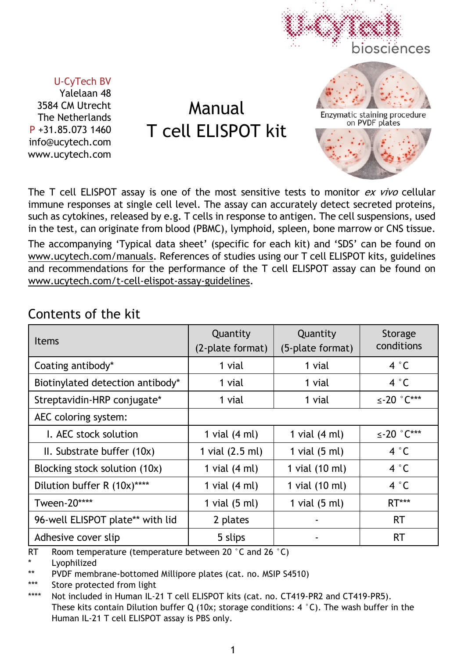

#### U-CyTech BV

Yalelaan 48 3584 CM Utrecht The Netherlands P +31.85.073 1460 info@ucytech.com www.ucytech.com

Manual T cell ELISPOT kit

The T cell ELISPOT assay is one of the most sensitive tests to monitor *ex vivo* cellular immune responses at single cell level. The assay can accurately detect secreted proteins, such as cytokines, released by e.g. T cells in response to antigen. The cell suspensions, used in the test, can originate from blood (PBMC), lymphoid, spleen, bone marrow or CNS tissue. The accompanying 'Typical data sheet' (specific for each kit) and 'SDS' can be found on www.ucytech.com/manuals. References of studies using our T cell ELISPOT kits, guidelines and recommendations for the performance of the T cell ELISPOT assay can be found on www.ucytech.com/t-cell-elispot-assay-guidelines.

| <b>Items</b>                     | Quantity<br>(2-plate format) | Quantity<br>(5-plate format) | Storage<br>conditions      |
|----------------------------------|------------------------------|------------------------------|----------------------------|
| Coating antibody*                | 1 vial                       | 1 vial                       | 4 °C                       |
| Biotinylated detection antibody* | 1 vial                       | 1 vial                       | 4 °C                       |
| Streptavidin-HRP conjugate*      | 1 vial                       | 1 vial                       | $\leq$ -20 $^{\circ}$ C*** |
| AEC coloring system:             |                              |                              |                            |
| L. AEC stock solution            | 1 vial $(4 ml)$              | 1 vial $(4 \text{ ml})$      | $\leq$ -20 $^{\circ}$ C*** |
| II. Substrate buffer (10x)       | 1 vial (2.5 ml)              | 1 vial $(5 \text{ ml})$      | 4 °C                       |
| Blocking stock solution (10x)    | 1 vial $(4 \text{ ml})$      | 1 vial (10 ml)               | 4 °C                       |
| Dilution buffer R (10x)****      | 1 vial $(4 \text{ ml})$      | 1 vial (10 ml)               | 4 °C                       |
| Tween-20****                     | 1 vial $(5 \text{ ml})$      | 1 vial $(5 \text{ ml})$      | <b>RT***</b>               |
| 96-well ELISPOT plate** with lid | 2 plates                     | ۰                            | <b>RT</b>                  |
| Adhesive cover slip              | 5 slips                      |                              | <b>RT</b>                  |

## Contents of the kit

RT Room temperature (temperature between 20 °C and 26 °C)

Lyophilized

\*\* PVDF membrane-bottomed Millipore plates (cat. no. MSIP S4510)

\*\*\* Store protected from light

\*\*\*\* Not included in Human IL-21 T cell ELISPOT kits (cat. no. CT419-PR2 and CT419-PR5). These kits contain Dilution buffer Q (10x; storage conditions:  $4 °C$ ). The wash buffer in the Human IL-21 T cell ELISPOT assay is PBS only.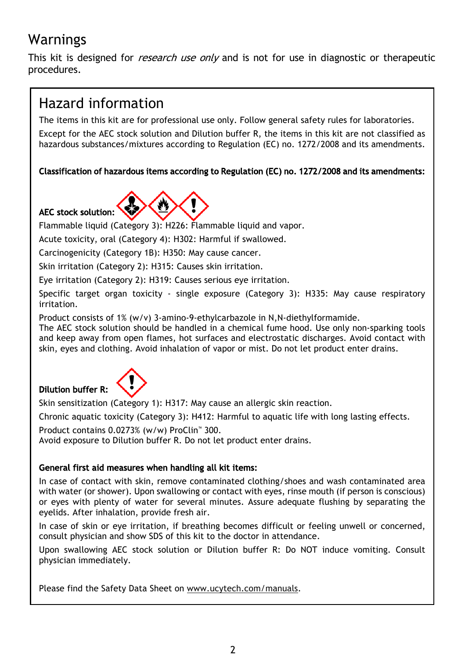# Warnings

This kit is designed for *research use only* and is not for use in diagnostic or therapeutic procedures.

# Hazard information

The items in this kit are for professional use only. Follow general safety rules for laboratories.

Except for the AEC stock solution and Dilution buffer R, the items in this kit are not classified as hazardous substances/mixtures according to Regulation (EC) no. 1272/2008 and its amendments.

### Classification of hazardous items according to Regulation (EC) no. 1272/2008 and its amendments:



Flammable liquid (Category 3): H226: Flammable liquid and vapor.

Acute toxicity, oral (Category 4): H302: Harmful if swallowed.

Carcinogenicity (Category 1B): H350: May cause cancer.

Skin irritation (Category 2): H315: Causes skin irritation.

Eye irritation (Category 2): H319: Causes serious eye irritation.

Specific target organ toxicity - single exposure (Category 3): H335: May cause respiratory irritation.

Product consists of 1% (w/v) 3-amino-9-ethylcarbazole in N,N-diethylformamide.

The AEC stock solution should be handled in a chemical fume hood. Use only non-sparking tools and keep away from open flames, hot surfaces and electrostatic discharges. Avoid contact with skin, eyes and clothing. Avoid inhalation of vapor or mist. Do not let product enter drains.



Dilution buffer R:

Skin sensitization (Category 1): H317: May cause an allergic skin reaction.

Chronic aquatic toxicity (Category 3): H412: Harmful to aquatic life with long lasting effects.

Product contains 0.0273% (w/w) ProClin™ 300.

Avoid exposure to Dilution buffer R. Do not let product enter drains.

### General first aid measures when handling all kit items:

In case of contact with skin, remove contaminated clothing/shoes and wash contaminated area with water (or shower). Upon swallowing or contact with eyes, rinse mouth (if person is conscious) or eyes with plenty of water for several minutes. Assure adequate flushing by separating the eyelids. After inhalation, provide fresh air.

In case of skin or eye irritation, if breathing becomes difficult or feeling unwell or concerned, consult physician and show SDS of this kit to the doctor in attendance.

Upon swallowing AEC stock solution or Dilution buffer R: Do NOT induce vomiting. Consult physician immediately.

Please find the Safety Data Sheet on www.ucytech.com/manuals.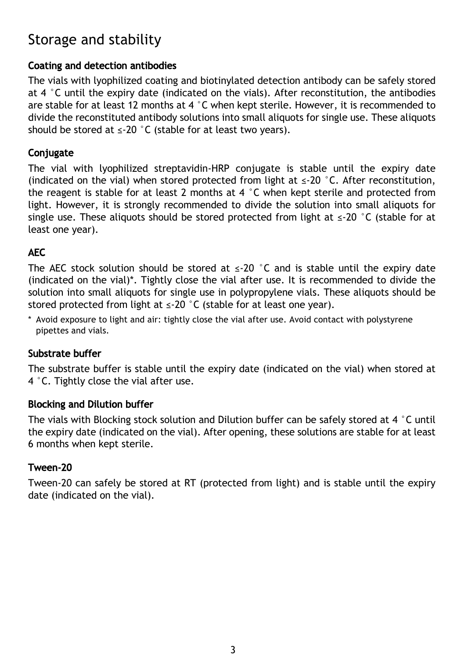# Storage and stability

### Coating and detection antibodies

The vials with lyophilized coating and biotinylated detection antibody can be safely stored at 4  $\degree$ C until the expiry date (indicated on the vials). After reconstitution, the antibodies are stable for at least 12 months at 4  $\degree$ C when kept sterile. However, it is recommended to divide the reconstituted antibody solutions into small aliquots for single use. These aliquots should be stored at  $\leq 20$  °C (stable for at least two vears).

## **Conjugate**

The vial with lyophilized streptavidin-HRP conjugate is stable until the expiry date (indicated on the vial) when stored protected from light at  $\leq$ -20 °C. After reconstitution, the reagent is stable for at least 2 months at 4  $\degree$ C when kept sterile and protected from light. However, it is strongly recommended to divide the solution into small aliquots for single use. These aliquots should be stored protected from light at  $\leq$ -20 °C (stable for at least one year).

## AEC

The AEC stock solution should be stored at  $\leq$  20 °C and is stable until the expiry date (indicated on the vial)\*. Tightly close the vial after use. It is recommended to divide the solution into small aliquots for single use in polypropylene vials. These aliquots should be stored protected from light at  $\leq$ -20 °C (stable for at least one year).

\* Avoid exposure to light and air: tightly close the vial after use. Avoid contact with polystyrene pipettes and vials.

### Substrate buffer

The substrate buffer is stable until the expiry date (indicated on the vial) when stored at 4 °C. Tightly close the vial after use.

### Blocking and Dilution buffer

The vials with Blocking stock solution and Dilution buffer can be safely stored at 4  $\degree$ C until the expiry date (indicated on the vial). After opening, these solutions are stable for at least 6 months when kept sterile.

### Tween-20

Tween-20 can safely be stored at RT (protected from light) and is stable until the expiry date (indicated on the vial).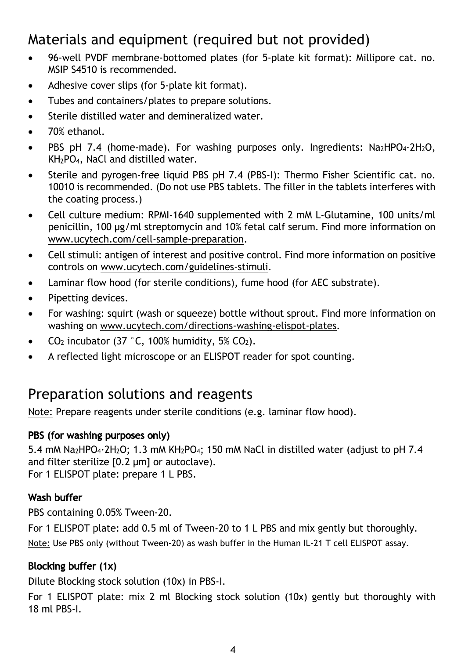# Materials and equipment (required but not provided)

- 96-well PVDF membrane-bottomed plates (for 5-plate kit format): Millipore cat. no. MSIP S4510 is recommended.
- Adhesive cover slips (for 5-plate kit format).
- Tubes and containers/plates to prepare solutions.
- Sterile distilled water and demineralized water.
- 70% ethanol
- PBS pH 7.4 (home-made). For washing purposes only. Ingredients:  $Na<sub>2</sub>HPO<sub>4</sub>·2H<sub>2</sub>O$ , KH2PO4, NaCl and distilled water.
- Sterile and pyrogen-free liquid PBS pH 7.4 (PBS-I): Thermo Fisher Scientific cat. no. 10010 is recommended. (Do not use PBS tablets. The filler in the tablets interferes with the coating process.)
- Cell culture medium: RPMI-1640 supplemented with 2 mM L-Glutamine, 100 units/ml penicillin, 100 µg/ml streptomycin and 10% fetal calf serum. Find more information on www.ucytech.com/cell-sample-preparation.
- Cell stimuli: antigen of interest and positive control. Find more information on positive controls on www.ucytech.com/guidelines-stimuli.
- Laminar flow hood (for sterile conditions), fume hood (for AEC substrate).
- Pipetting devices.
- For washing: squirt (wash or squeeze) bottle without sprout. Find more information on washing on www.ucytech.com/directions-washing-elispot-plates.
- $CO<sub>2</sub>$  incubator (37 °C, 100% humidity, 5%  $CO<sub>2</sub>$ ).
- A reflected light microscope or an ELISPOT reader for spot counting.

## Preparation solutions and reagents

Note: Prepare reagents under sterile conditions (e.g. laminar flow hood).

### PBS (for washing purposes only)

5.4 mM Na<sub>2</sub>HPO<sub>4</sub>·2H<sub>2</sub>O; 1.3 mM KH<sub>2</sub>PO<sub>4</sub>; 150 mM NaCl in distilled water (adjust to pH 7.4 and filter sterilize [0.2 µm] or autoclave). For 1 ELISPOT plate: prepare 1 L PBS.

### Wash buffer

PBS containing 0.05% Tween-20.

For 1 ELISPOT plate: add 0.5 ml of Tween-20 to 1 L PBS and mix gently but thoroughly. Note: Use PBS only (without Tween-20) as wash buffer in the Human IL-21 T cell ELISPOT assay.

## Blocking buffer (1x)

Dilute Blocking stock solution (10x) in PBS-I.

For 1 ELISPOT plate: mix 2 ml Blocking stock solution (10x) gently but thoroughly with 18 ml PBS-I.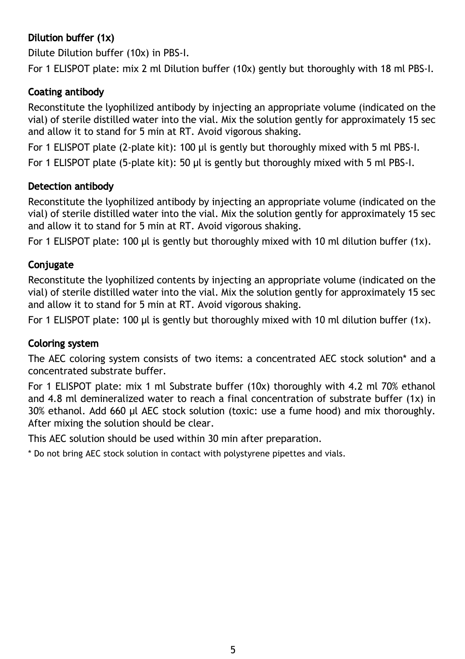## Dilution buffer (1x)

Dilute Dilution buffer (10x) in PBS-I.

For 1 ELISPOT plate: mix 2 ml Dilution buffer (10x) gently but thoroughly with 18 ml PBS-I.

### Coating antibody

Reconstitute the lyophilized antibody by injecting an appropriate volume (indicated on the vial) of sterile distilled water into the vial. Mix the solution gently for approximately 15 sec and allow it to stand for 5 min at RT. Avoid vigorous shaking.

For 1 ELISPOT plate (2-plate kit): 100 µl is gently but thoroughly mixed with 5 ml PBS-I.

For 1 ELISPOT plate (5-plate kit): 50 µl is gently but thoroughly mixed with 5 ml PBS-I.

### Detection antibody

Reconstitute the lyophilized antibody by injecting an appropriate volume (indicated on the vial) of sterile distilled water into the vial. Mix the solution gently for approximately 15 sec and allow it to stand for 5 min at RT. Avoid vigorous shaking.

For 1 ELISPOT plate: 100 µl is gently but thoroughly mixed with 10 ml dilution buffer (1x).

### **Conjugate**

Reconstitute the lyophilized contents by injecting an appropriate volume (indicated on the vial) of sterile distilled water into the vial. Mix the solution gently for approximately 15 sec and allow it to stand for 5 min at RT. Avoid vigorous shaking.

For 1 ELISPOT plate: 100 µl is gently but thoroughly mixed with 10 ml dilution buffer (1x).

### Coloring system

The AEC coloring system consists of two items: a concentrated AEC stock solution\* and a concentrated substrate buffer.

For 1 ELISPOT plate: mix 1 ml Substrate buffer (10x) thoroughly with 4.2 ml 70% ethanol and 4.8 ml demineralized water to reach a final concentration of substrate buffer (1x) in 30% ethanol. Add 660 µl AEC stock solution (toxic: use a fume hood) and mix thoroughly. After mixing the solution should be clear.

This AEC solution should be used within 30 min after preparation.

\* Do not bring AEC stock solution in contact with polystyrene pipettes and vials.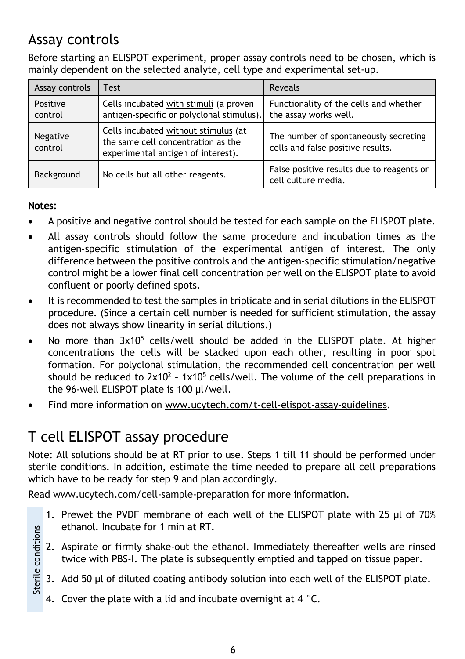# Assay controls

Before starting an ELISPOT experiment, proper assay controls need to be chosen, which is mainly dependent on the selected analyte, cell type and experimental set-up.

| Assay controls             | <b>Test</b>                                                                                                      | Reveals                                                                    |  |
|----------------------------|------------------------------------------------------------------------------------------------------------------|----------------------------------------------------------------------------|--|
| Positive<br>control        | Cells incubated with stimuli (a proven<br>antigen-specific or polyclonal stimulus).                              | Functionality of the cells and whether<br>the assay works well.            |  |
| <b>Negative</b><br>control | Cells incubated without stimulus (at<br>the same cell concentration as the<br>experimental antigen of interest). | The number of spontaneously secreting<br>cells and false positive results. |  |
| Background                 | No cells but all other reagents.                                                                                 | False positive results due to reagents or<br>cell culture media.           |  |

### Notes:

- A positive and negative control should be tested for each sample on the ELISPOT plate.
- All assay controls should follow the same procedure and incubation times as the antigen-specific stimulation of the experimental antigen of interest. The only difference between the positive controls and the antigen-specific stimulation/negative control might be a lower final cell concentration per well on the ELISPOT plate to avoid confluent or poorly defined spots.
- It is recommended to test the samples in triplicate and in serial dilutions in the ELISPOT procedure. (Since a certain cell number is needed for sufficient stimulation, the assay does not always show linearity in serial dilutions.)
- No more than  $3x10^5$  cells/well should be added in the ELISPOT plate. At higher concentrations the cells will be stacked upon each other, resulting in poor spot formation. For polyclonal stimulation, the recommended cell concentration per well should be reduced to  $2x10^2 - 1x10^5$  cells/well. The volume of the cell preparations in the 96-well ELISPOT plate is 100 µl/well.
- Find more information on www.ucytech.com/t-cell-elispot-assay-guidelines.

# T cell ELISPOT assay procedure

Note: All solutions should be at RT prior to use. Steps 1 till 11 should be performed under sterile conditions. In addition, estimate the time needed to prepare all cell preparations which have to be ready for step 9 and plan accordingly.

Read www.ucytech.com/cell-sample-preparation for more information.

- 1. Prewet the PVDF membrane of each well of the ELISPOT plate with 25 µl of 70% ethanol. Incubate for 1 min at RT.
- Sterile conditions Sterile conditions2. Aspirate or firmly shake-out the ethanol. Immediately thereafter wells are rinsed twice with PBS-I. The plate is subsequently emptied and tapped on tissue paper.
	- 3. Add 50 µl of diluted coating antibody solution into each well of the ELISPOT plate.
	- 4. Cover the plate with a lid and incubate overnight at 4  $\degree$ C.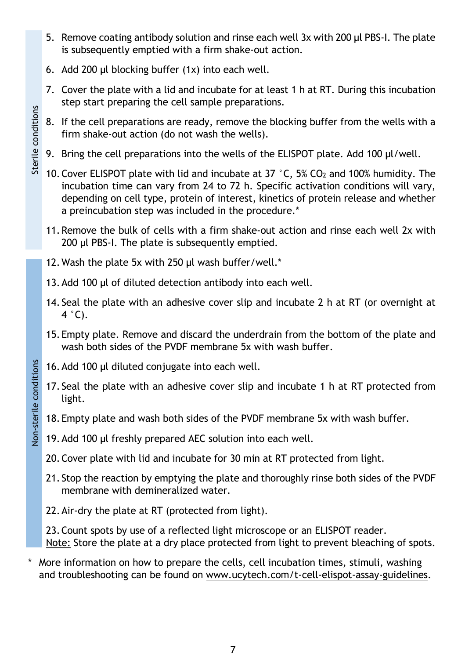- 5. Remove coating antibody solution and rinse each well 3x with 200 µl PBS-I. The plate is subsequently emptied with a firm shake-out action.
- 6. Add 200 µl blocking buffer (1x) into each well.

Sterile conditions

Sterile conditions

Non-sterile conditions

Non-sterile conditions

- 7. Cover the plate with a lid and incubate for at least 1 h at RT. During this incubation step start preparing the cell sample preparations.
- 8. If the cell preparations are ready, remove the blocking buffer from the wells with a firm shake-out action (do not wash the wells).
- 9. Bring the cell preparations into the wells of the ELISPOT plate. Add 100 µl/well.
- 10. Cover ELISPOT plate with lid and incubate at  $37\degree$ C,  $5\%$  CO<sub>2</sub> and 100% humidity. The incubation time can vary from 24 to 72 h. Specific activation conditions will vary, depending on cell type, protein of interest, kinetics of protein release and whether a preincubation step was included in the procedure.\*
- 11.Remove the bulk of cells with a firm shake-out action and rinse each well 2x with 200 µl PBS-I. The plate is subsequently emptied.
- 12. Wash the plate 5x with 250 µl wash buffer/well.\*
- 13. Add 100 µl of diluted detection antibody into each well.
- 14. Seal the plate with an adhesive cover slip and incubate 2 h at RT (or overnight at  $4°C$ ).
- 15.Empty plate. Remove and discard the underdrain from the bottom of the plate and wash both sides of the PVDF membrane 5x with wash buffer.
- 16.Add 100 µl diluted conjugate into each well.
- 17. Seal the plate with an adhesive cover slip and incubate 1 h at RT protected from light.
- 18.Empty plate and wash both sides of the PVDF membrane 5x with wash buffer.
- 19. Add 100 µl freshly prepared AEC solution into each well.
- 20.Cover plate with lid and incubate for 30 min at RT protected from light.
- 21. Stop the reaction by emptying the plate and thoroughly rinse both sides of the PVDF membrane with demineralized water.
- 22.Air-dry the plate at RT (protected from light).

23.Count spots by use of a reflected light microscope or an ELISPOT reader. Note: Store the plate at a dry place protected from light to prevent bleaching of spots.

More information on how to prepare the cells, cell incubation times, stimuli, washing and troubleshooting can be found on www.ucytech.com/t-cell-elispot-assay-guidelines.

7